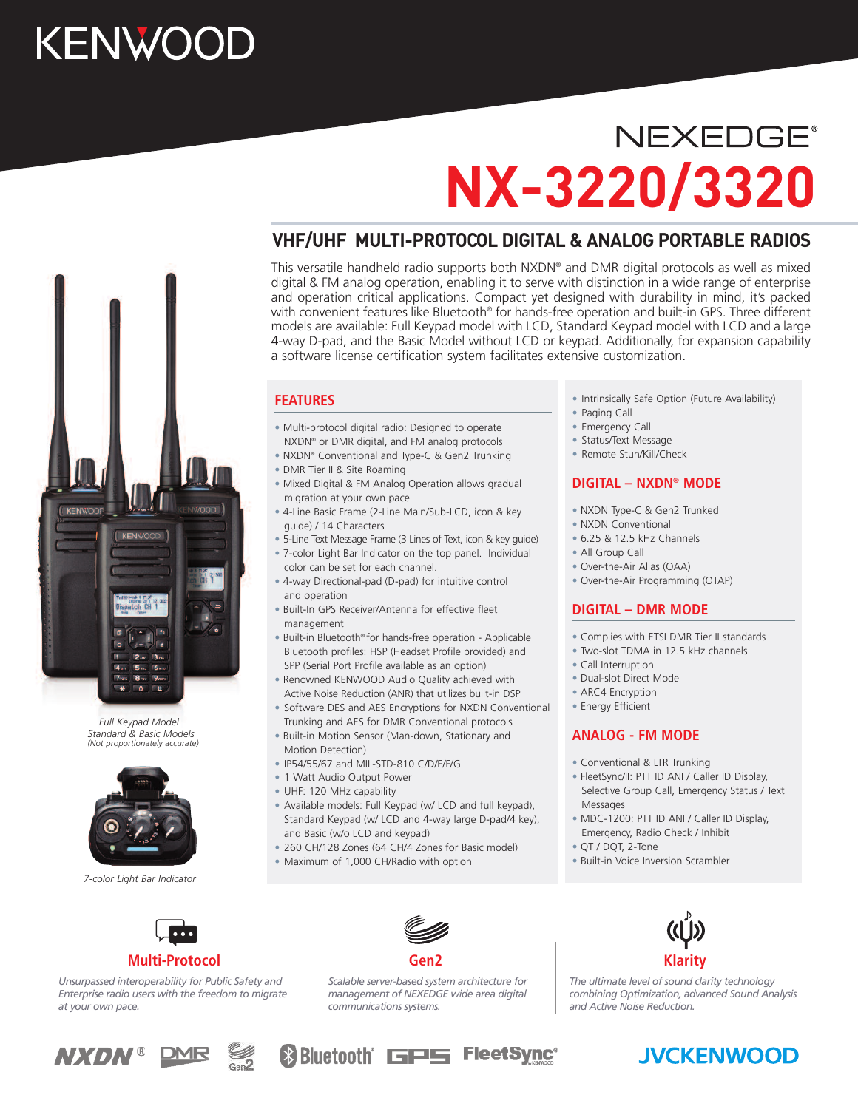# **KENWOOD**

# **NEXEDGE® NX-3220/3320**

# **VHF/UHF MULTI-PROTOCOL DIGITAL & ANALOG PORTABLE RADIOS**

This versatile handheld radio supports both NXDN® and DMR digital protocols as well as mixed digital & FM analog operation, enabling it to serve with distinction in a wide range of enterprise and operation critical applications. Compact yet designed with durability in mind, it's packed with convenient features like Bluetooth® for hands-free operation and built-in GPS. Three different models are available: Full Keypad model with LCD, Standard Keypad model with LCD and a large 4-way D-pad, and the Basic Model without LCD or keypad. Additionally, for expansion capability a software license certification system facilitates extensive customization.

## **FEATURES**

- Multi-protocol digital radio: Designed to operate NXDN® or DMR digital, and FM analog protocols
- NXDN® Conventional and Type-C & Gen2 Trunking
- DMR Tier II & Site Roaming
- Mixed Digital & FM Analog Operation allows gradual migration at your own pace
- 4-Line Basic Frame (2-Line Main/Sub-LCD, icon & key guide) / 14 Characters
- 5-Line Text Message Frame (3 Lines of Text, icon & key guide)
- 7-color Light Bar Indicator on the top panel. Individual color can be set for each channel.
- 4-way Directional-pad (D-pad) for intuitive control and operation
- Built-In GPS Receiver/Antenna for effective fleet management
- Built-in Bluetooth® for hands-free operation Applicable Bluetooth profiles: HSP (Headset Profile provided) and SPP (Serial Port Profile available as an option)
- Renowned KENWOOD Audio Quality achieved with Active Noise Reduction (ANR) that utilizes built-in DSP
- Software DES and AES Encryptions for NXDN Conventional Trunking and AES for DMR Conventional protocols
- Built-in Motion Sensor (Man-down, Stationary and Motion Detection)
- IP54/55/67 and MIL-STD-810 C/D/E/F/G
- 1 Watt Audio Output Power
- UHF: 120 MHz capability
- Available models: Full Keypad (w/ LCD and full keypad), Standard Keypad (w/ LCD and 4-way large D-pad/4 key), and Basic (w/o LCD and keypad)
- 260 CH/128 Zones (64 CH/4 Zones for Basic model)
- Maximum of 1,000 CH/Radio with option
- Intrinsically Safe Option (Future Availability)
- Paging Call
- Emergency Call
- Status/Text Message
- Remote Stun/Kill/Check

### **DIGITAL – NXDN® MODE**

- NXDN Type-C & Gen2 Trunked
- NXDN Conventional
- $6.25$   $& 12.5$   $&$   $&$   $+17.5$  Channels
- All Group Call
- Over-the-Air Alias (OAA)
- Over-the-Air Programming (OTAP)

## **DIGITAL – DMR MODE**

- Complies with ETSI DMR Tier II standards
- Two-slot TDMA in 12.5 kHz channels
- Call Interruption
- Dual-slot Direct Mode
- ARC4 Encryption
- Energy Efficient

#### **ANALOG - FM MODE**

- Conventional & LTR Trunking
- FleetSync/II: PTT ID ANI / Caller ID Display, Selective Group Call, Emergency Status / Text Messages
- MDC-1200: PTT ID ANI / Caller ID Display, Emergency, Radio Check / Inhibit
- OT / DOT, 2-Tone
- Built-in Voice Inversion Scrambler

**Multi-Protocol**

*Unsurpassed interoperability for Public Safety and Enterprise radio users with the freedom to migrate at your own pace.*







*Scalable server-based system architecture for management of NEXEDGE wide area digital communications systems.*

**&Bluetooth** GPS FleetSync<sup>®</sup>



*The ultimate level of sound clarity technology combining Optimization, advanced Sound Analysis and Active Noise Reduction.*



- 
- *Full Keypad Model Standard & Basic Models (Not proportionately accurate)*



*7-color Light Bar Indicator*